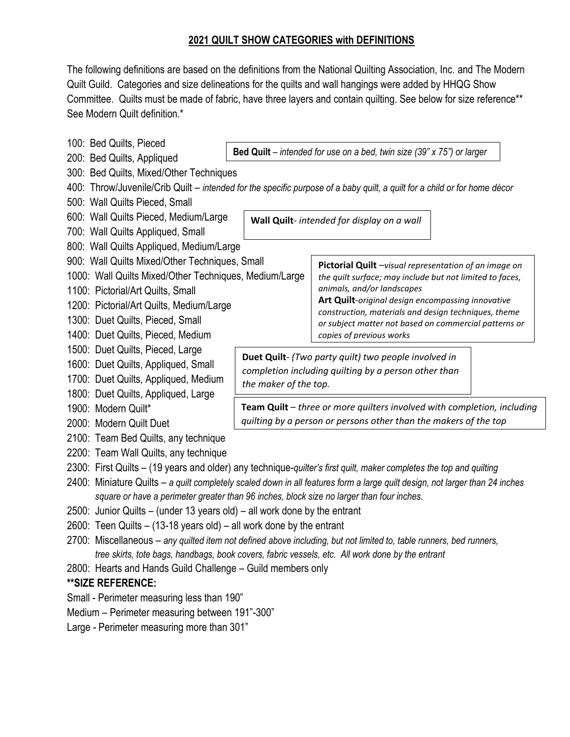## **2021 QUILT SHOW CATEGORIES with DEFINITIONS**

The following definitions are based on the definitions from the National Quilting Association, Inc. and The Modern Quilt Guild. Categories and size delineations for the quilts and wall hangings were added by HHQG Show Committee. Quilts must be made of fabric, have three layers and contain quilting. See below for size reference\*\* See Modern Quilt definition.\*

100: Bed Quilts, Pieced 200: Bed Quilts, Appliqued 300: Bed Quilts, Mixed/Other Techniques 400: Throw/Juvenile/Crib Quilt – *intended for the specific purpose of a baby quilt, a quilt for a child or for home décor* 500: Wall Quilts Pieced, Small 600: Wall Quilts Pieced, Medium/Large 700: Wall Quilts Appliqued, Small 800: Wall Quilts Appliqued, Medium/Large 900: Wall Quilts Mixed/Other Techniques, Small 1000: Wall Quilts Mixed/Other Techniques, Medium/Large 1100: Pictorial/Art Quilts, Small 1200: Pictorial/Art Quilts, Medium/Large 1300: Duet Quilts, Pieced, Small 1400: Duet Quilts, Pieced, Medium 1500: Duet Quilts, Pieced, Large 1600: Duet Quilts, Appliqued, Small 1700: Duet Quilts, Appliqued, Medium 1800: Duet Quilts, Appliqued, Large 1900: Modern Quilt\* 2000: Modern Quilt Duet 2100: Team Bed Quilts, any technique 2200: Team Wall Quilts, any technique 2300: First Quilts – (19 years and older) any technique-*quilter's first quilt, maker completes the top and quilting* 2400: Miniature Quilts – *a quilt completely scaled down in all features form a large quilt design, not larger than 24 inches square or have a perimeter greater than 96 inches, block size no larger than four inches.* 2500: Junior Quilts – (under 13 years old) – all work done by the entrant 2600: Teen Quilts – (13-18 years old) – all work done by the entrant 2700: Miscellaneous – *any quilted item not defined above including, but not limited to, table runners, bed runners, tree skirts, tote bags, handbags, book covers, fabric vessels, etc. All work done by the entrant* 2800: Hearts and Hands Guild Challenge – Guild members only **\*\*SIZE REFERENCE:** Small - Perimeter measuring less than 190" Medium – Perimeter measuring between 191"-300" Large - Perimeter measuring more than 301" **Bed Quilt** – *intended for use on a bed, twin size (39" x 75") or larger* **Wall Quilt**- *intended for display on a wall* **Pictorial Quilt** –*visual representation of an image on the quilt surface; may include but not limited to faces, animals, and/or landscapes* **Art Quilt**-*original design encompassing innovative construction, materials and design techniques, theme or subject matter not based on commercial patterns or copies of previous works* **Duet Quilt**- *(Two party quilt) two people involved in completion including quilting by a person other than the maker of the top.* **Team Quilt** – *three or more quilters involved with completion, including quilting by a person or persons other than the makers of the top*